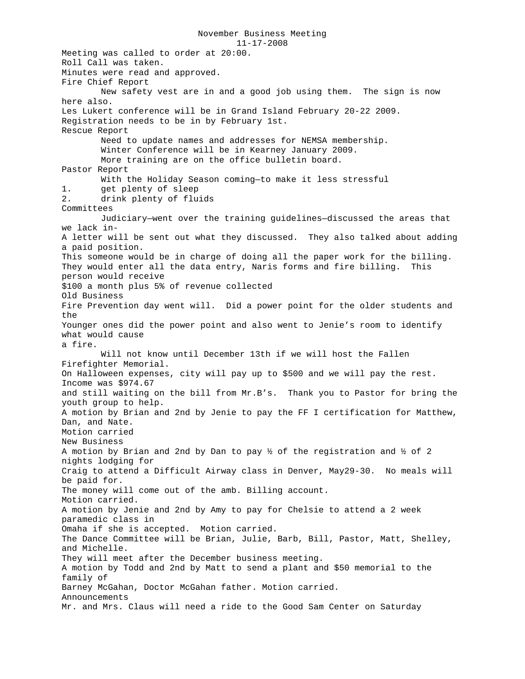November Business Meeting 11-17-2008 Meeting was called to order at 20:00. Roll Call was taken. Minutes were read and approved. Fire Chief Report New safety vest are in and a good job using them. The sign is now here also. Les Lukert conference will be in Grand Island February 20-22 2009. Registration needs to be in by February 1st. Rescue Report Need to update names and addresses for NEMSA membership. Winter Conference will be in Kearney January 2009. More training are on the office bulletin board. Pastor Report With the Holiday Season coming—to make it less stressful 1. get plenty of sleep<br>2. drink plenty of flu: drink plenty of fluids Committees Judiciary—went over the training guidelines—discussed the areas that we lack in-A letter will be sent out what they discussed. They also talked about adding a paid position. This someone would be in charge of doing all the paper work for the billing. They would enter all the data entry, Naris forms and fire billing. This person would receive \$100 a month plus 5% of revenue collected Old Business Fire Prevention day went will. Did a power point for the older students and the Younger ones did the power point and also went to Jenie's room to identify what would cause a fire. Will not know until December 13th if we will host the Fallen Firefighter Memorial. On Halloween expenses, city will pay up to \$500 and we will pay the rest. Income was \$974.67 and still waiting on the bill from Mr.B's. Thank you to Pastor for bring the youth group to help. A motion by Brian and 2nd by Jenie to pay the FF I certification for Matthew, Dan, and Nate. Motion carried New Business A motion by Brian and 2nd by Dan to pay ½ of the registration and ½ of 2 nights lodging for Craig to attend a Difficult Airway class in Denver, May29-30. No meals will be paid for. The money will come out of the amb. Billing account. Motion carried. A motion by Jenie and 2nd by Amy to pay for Chelsie to attend a 2 week paramedic class in Omaha if she is accepted. Motion carried. The Dance Committee will be Brian, Julie, Barb, Bill, Pastor, Matt, Shelley, and Michelle. They will meet after the December business meeting. A motion by Todd and 2nd by Matt to send a plant and \$50 memorial to the family of Barney McGahan, Doctor McGahan father. Motion carried. Announcements Mr. and Mrs. Claus will need a ride to the Good Sam Center on Saturday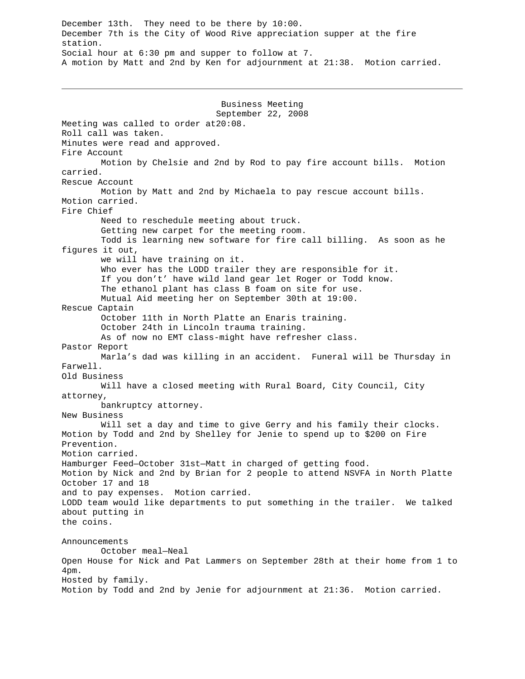December 13th. They need to be there by 10:00. December 7th is the City of Wood Rive appreciation supper at the fire station. Social hour at 6:30 pm and supper to follow at 7. A motion by Matt and 2nd by Ken for adjournment at 21:38. Motion carried.

Business Meeting September 22, 2008 Meeting was called to order at20:08. Roll call was taken. Minutes were read and approved. Fire Account Motion by Chelsie and 2nd by Rod to pay fire account bills. Motion carried. Rescue Account Motion by Matt and 2nd by Michaela to pay rescue account bills. Motion carried. Fire Chief Need to reschedule meeting about truck. Getting new carpet for the meeting room. Todd is learning new software for fire call billing. As soon as he figures it out, we will have training on it. Who ever has the LODD trailer they are responsible for it. If you don't' have wild land gear let Roger or Todd know. The ethanol plant has class B foam on site for use. Mutual Aid meeting her on September 30th at 19:00. Rescue Captain October 11th in North Platte an Enaris training. October 24th in Lincoln trauma training. As of now no EMT class-might have refresher class. Pastor Report Marla's dad was killing in an accident. Funeral will be Thursday in Farwell. Old Business Will have a closed meeting with Rural Board, City Council, City attorney, bankruptcy attorney. New Business Will set a day and time to give Gerry and his family their clocks. Motion by Todd and 2nd by Shelley for Jenie to spend up to \$200 on Fire Prevention. Motion carried. Hamburger Feed—October 31st—Matt in charged of getting food. Motion by Nick and 2nd by Brian for 2 people to attend NSVFA in North Platte October 17 and 18 and to pay expenses. Motion carried. LODD team would like departments to put something in the trailer. We talked about putting in the coins. Announcements October meal—Neal Open House for Nick and Pat Lammers on September 28th at their home from 1 to 4pm. Hosted by family. Motion by Todd and 2nd by Jenie for adjournment at 21:36. Motion carried.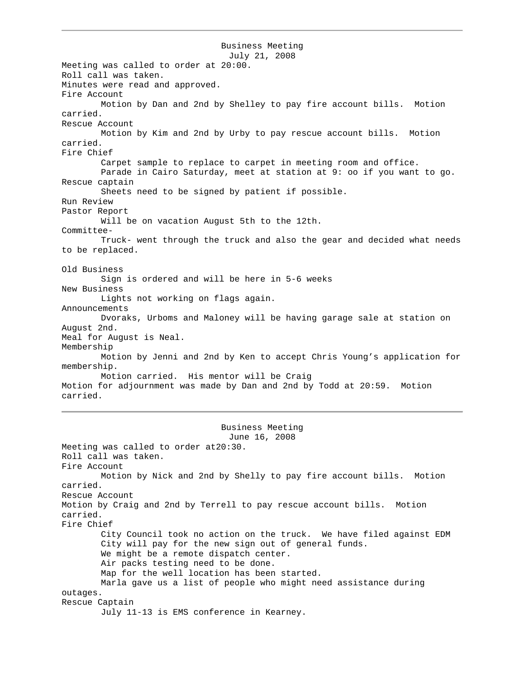Business Meeting July 21, 2008 Meeting was called to order at 20:00. Roll call was taken. Minutes were read and approved. Fire Account Motion by Dan and 2nd by Shelley to pay fire account bills. Motion carried. Rescue Account Motion by Kim and 2nd by Urby to pay rescue account bills. Motion carried. Fire Chief Carpet sample to replace to carpet in meeting room and office. Parade in Cairo Saturday, meet at station at 9: oo if you want to go. Rescue captain Sheets need to be signed by patient if possible. Run Review Pastor Report Will be on vacation August 5th to the 12th. Committee-Truck- went through the truck and also the gear and decided what needs to be replaced. Old Business Sign is ordered and will be here in 5-6 weeks New Business Lights not working on flags again. Announcements Dvoraks, Urboms and Maloney will be having garage sale at station on August 2nd. Meal for August is Neal. Membership Motion by Jenni and 2nd by Ken to accept Chris Young's application for membership. Motion carried. His mentor will be Craig Motion for adjournment was made by Dan and 2nd by Todd at 20:59. Motion carried. Business Meeting June 16, 2008 Meeting was called to order at20:30. Roll call was taken. Fire Account Motion by Nick and 2nd by Shelly to pay fire account bills. Motion carried. Rescue Account Motion by Craig and 2nd by Terrell to pay rescue account bills. Motion carried. Fire Chief City Council took no action on the truck. We have filed against EDM City will pay for the new sign out of general funds. We might be a remote dispatch center. Air packs testing need to be done. Map for the well location has been started. Marla gave us a list of people who might need assistance during outages. Rescue Captain July 11-13 is EMS conference in Kearney.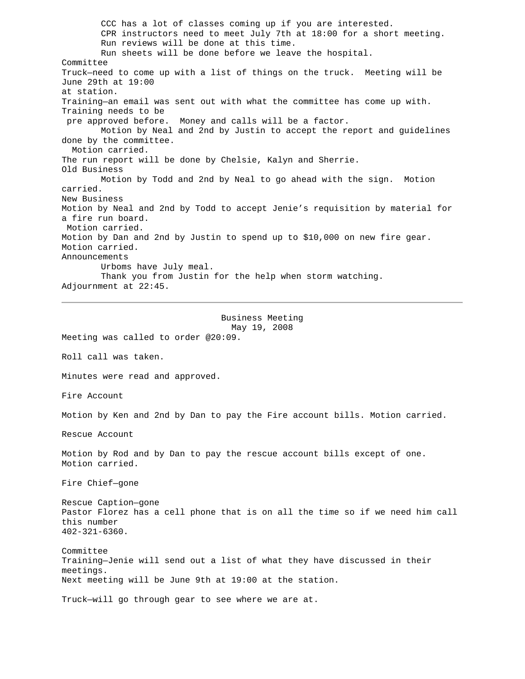CCC has a lot of classes coming up if you are interested. CPR instructors need to meet July 7th at 18:00 for a short meeting. Run reviews will be done at this time. Run sheets will be done before we leave the hospital. Committee Truck—need to come up with a list of things on the truck. Meeting will be June 29th at 19:00 at station. Training—an email was sent out with what the committee has come up with. Training needs to be pre approved before. Money and calls will be a factor. Motion by Neal and 2nd by Justin to accept the report and guidelines done by the committee. Motion carried. The run report will be done by Chelsie, Kalyn and Sherrie. Old Business Motion by Todd and 2nd by Neal to go ahead with the sign. Motion carried. New Business Motion by Neal and 2nd by Todd to accept Jenie's requisition by material for a fire run board. Motion carried. Motion by Dan and 2nd by Justin to spend up to \$10,000 on new fire gear. Motion carried. Announcements Urboms have July meal. Thank you from Justin for the help when storm watching. Adjournment at 22:45.

## Business Meeting May 19, 2008

Meeting was called to order @20:09. Roll call was taken. Minutes were read and approved. Fire Account Motion by Ken and 2nd by Dan to pay the Fire account bills. Motion carried. Rescue Account Motion by Rod and by Dan to pay the rescue account bills except of one. Motion carried. Fire Chief—gone Rescue Caption—gone Pastor Florez has a cell phone that is on all the time so if we need him call this number 402-321-6360. Committee Training—Jenie will send out a list of what they have discussed in their meetings. Next meeting will be June 9th at 19:00 at the station.

Truck—will go through gear to see where we are at.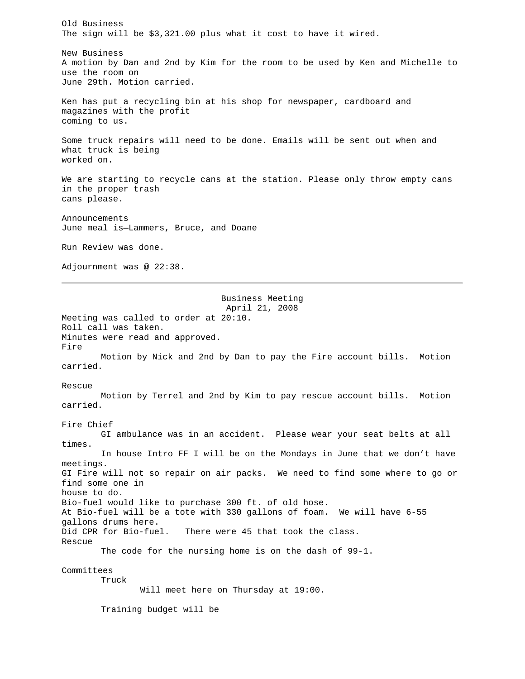Old Business The sign will be \$3,321.00 plus what it cost to have it wired. New Business A motion by Dan and 2nd by Kim for the room to be used by Ken and Michelle to use the room on June 29th. Motion carried. Ken has put a recycling bin at his shop for newspaper, cardboard and magazines with the profit coming to us. Some truck repairs will need to be done. Emails will be sent out when and what truck is being worked on. We are starting to recycle cans at the station. Please only throw empty cans in the proper trash cans please. Announcements June meal is—Lammers, Bruce, and Doane Run Review was done. Adjournment was @ 22:38. Business Meeting April 21, 2008 Meeting was called to order at 20:10. Roll call was taken. Minutes were read and approved. Fire Motion by Nick and 2nd by Dan to pay the Fire account bills. Motion carried. Rescue Motion by Terrel and 2nd by Kim to pay rescue account bills. Motion carried. Fire Chief GI ambulance was in an accident. Please wear your seat belts at all times. In house Intro FF I will be on the Mondays in June that we don't have meetings. GI Fire will not so repair on air packs. We need to find some where to go or find some one in house to do. Bio-fuel would like to purchase 300 ft. of old hose. At Bio-fuel will be a tote with 330 gallons of foam. We will have 6-55 gallons drums here. Did CPR for Bio-fuel. There were 45 that took the class. Rescue The code for the nursing home is on the dash of 99-1. Committees Truck Will meet here on Thursday at 19:00. Training budget will be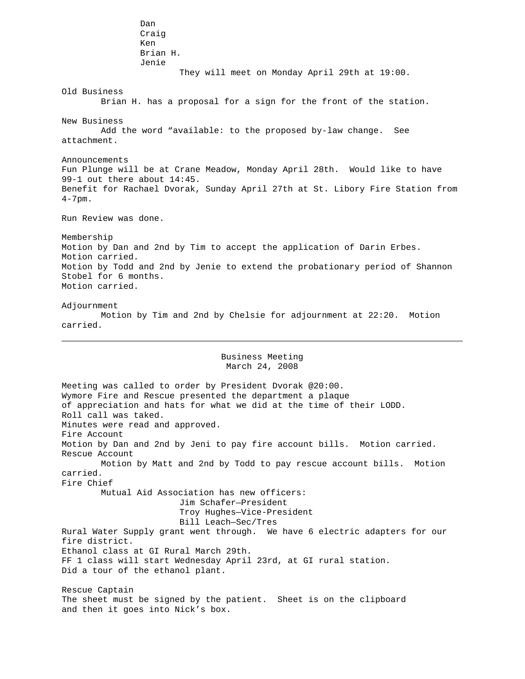Dan Craig Ken Brian H. Jenie They will meet on Monday April 29th at 19:00. Old Business Brian H. has a proposal for a sign for the front of the station. New Business Add the word "available: to the proposed by-law change. See attachment. Announcements Fun Plunge will be at Crane Meadow, Monday April 28th. Would like to have 99-1 out there about 14:45. Benefit for Rachael Dvorak, Sunday April 27th at St. Libory Fire Station from 4-7pm. Run Review was done. Membership Motion by Dan and 2nd by Tim to accept the application of Darin Erbes. Motion carried. Motion by Todd and 2nd by Jenie to extend the probationary period of Shannon Stobel for 6 months. Motion carried. Adjournment Motion by Tim and 2nd by Chelsie for adjournment at 22:20. Motion carried. Business Meeting March 24, 2008 Meeting was called to order by President Dvorak @20:00. Wymore Fire and Rescue presented the department a plaque of appreciation and hats for what we did at the time of their LODD. Roll call was taked. Minutes were read and approved. Fire Account Motion by Dan and 2nd by Jeni to pay fire account bills. Motion carried. Rescue Account Motion by Matt and 2nd by Todd to pay rescue account bills. Motion carried. Fire Chief Mutual Aid Association has new officers: Jim Schafer—President Troy Hughes—Vice-President Bill Leach—Sec/Tres Rural Water Supply grant went through. We have 6 electric adapters for our fire district. Ethanol class at GI Rural March 29th. FF 1 class will start Wednesday April 23rd, at GI rural station. Did a tour of the ethanol plant. Rescue Captain The sheet must be signed by the patient. Sheet is on the clipboard

and then it goes into Nick's box.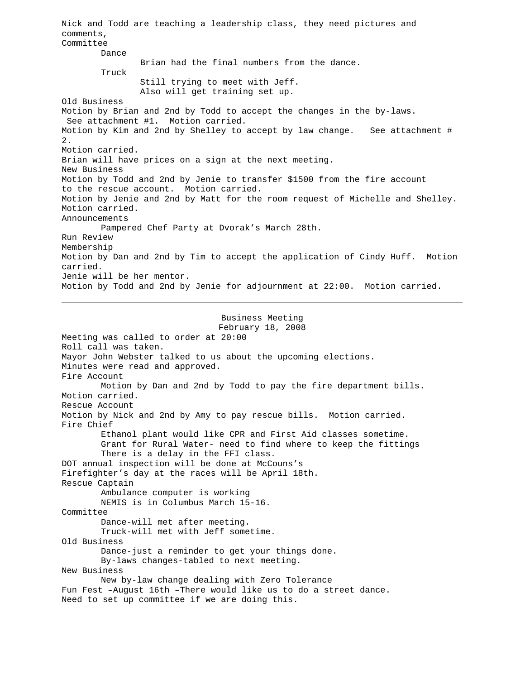Nick and Todd are teaching a leadership class, they need pictures and comments, Committee Dance Brian had the final numbers from the dance. Truck Still trying to meet with Jeff. Also will get training set up. Old Business Motion by Brian and 2nd by Todd to accept the changes in the by-laws. See attachment #1. Motion carried. Motion by Kim and 2nd by Shelley to accept by law change. See attachment # 2. Motion carried. Brian will have prices on a sign at the next meeting. New Business Motion by Todd and 2nd by Jenie to transfer \$1500 from the fire account to the rescue account. Motion carried. Motion by Jenie and 2nd by Matt for the room request of Michelle and Shelley. Motion carried. Announcements Pampered Chef Party at Dvorak's March 28th. Run Review Membership Motion by Dan and 2nd by Tim to accept the application of Cindy Huff. Motion carried. Jenie will be her mentor. Motion by Todd and 2nd by Jenie for adjournment at 22:00. Motion carried. Business Meeting

February 18, 2008 Meeting was called to order at 20:00 Roll call was taken. Mayor John Webster talked to us about the upcoming elections. Minutes were read and approved. Fire Account Motion by Dan and 2nd by Todd to pay the fire department bills. Motion carried. Rescue Account Motion by Nick and 2nd by Amy to pay rescue bills. Motion carried. Fire Chief Ethanol plant would like CPR and First Aid classes sometime. Grant for Rural Water- need to find where to keep the fittings There is a delay in the FFI class. DOT annual inspection will be done at McCouns's Firefighter's day at the races will be April 18th. Rescue Captain Ambulance computer is working NEMIS is in Columbus March 15-16. Committee Dance-will met after meeting. Truck-will met with Jeff sometime. Old Business Dance-just a reminder to get your things done. By-laws changes-tabled to next meeting. New Business New by-law change dealing with Zero Tolerance Fun Fest –August 16th –There would like us to do a street dance. Need to set up committee if we are doing this.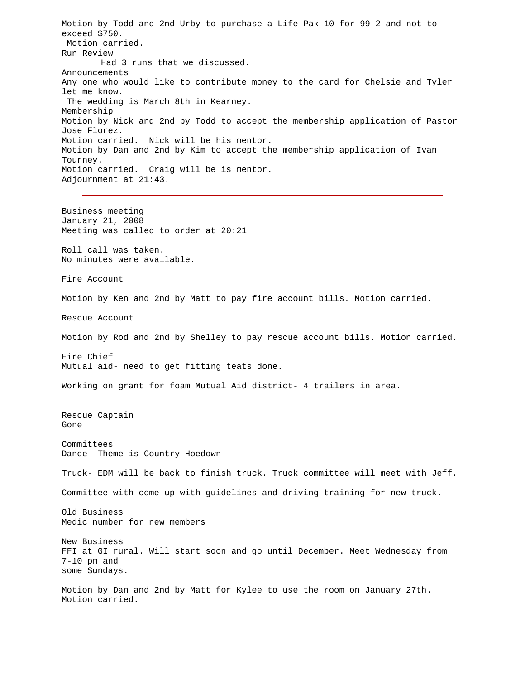Motion by Todd and 2nd Urby to purchase a Life-Pak 10 for 99-2 and not to exceed \$750. Motion carried. Run Review Had 3 runs that we discussed. Announcements Any one who would like to contribute money to the card for Chelsie and Tyler let me know. The wedding is March 8th in Kearney. Membership Motion by Nick and 2nd by Todd to accept the membership application of Pastor Jose Florez. Motion carried. Nick will be his mentor. Motion by Dan and 2nd by Kim to accept the membership application of Ivan Tourney. Motion carried. Craig will be is mentor. Adjournment at 21:43. Business meeting January 21, 2008 Meeting was called to order at 20:21 Roll call was taken. No minutes were available. Fire Account Motion by Ken and 2nd by Matt to pay fire account bills. Motion carried. Rescue Account Motion by Rod and 2nd by Shelley to pay rescue account bills. Motion carried. Fire Chief Mutual aid- need to get fitting teats done. Working on grant for foam Mutual Aid district- 4 trailers in area. Rescue Captain Gone Committees Dance- Theme is Country Hoedown Truck- EDM will be back to finish truck. Truck committee will meet with Jeff. Committee with come up with guidelines and driving training for new truck. Old Business Medic number for new members New Business FFI at GI rural. Will start soon and go until December. Meet Wednesday from 7-10 pm and some Sundays. Motion by Dan and 2nd by Matt for Kylee to use the room on January 27th. Motion carried.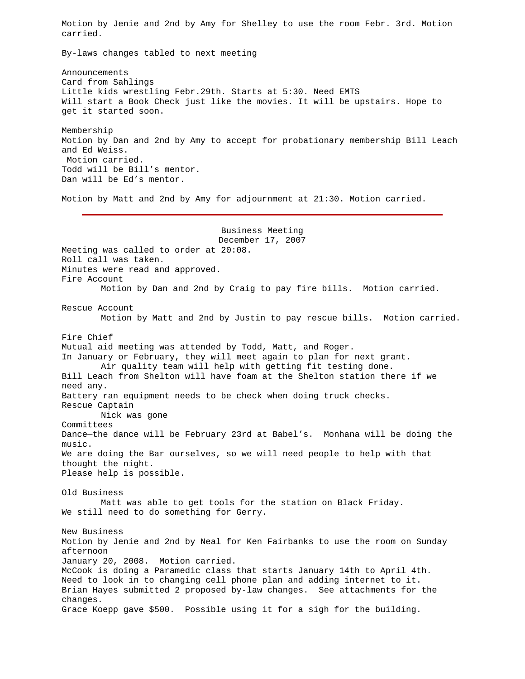Motion by Jenie and 2nd by Amy for Shelley to use the room Febr. 3rd. Motion carried.

By-laws changes tabled to next meeting

Announcements Card from Sahlings Little kids wrestling Febr.29th. Starts at 5:30. Need EMTS Will start a Book Check just like the movies. It will be upstairs. Hope to get it started soon.

Membership Motion by Dan and 2nd by Amy to accept for probationary membership Bill Leach and Ed Weiss. Motion carried. Todd will be Bill's mentor. Dan will be Ed's mentor.

Motion by Matt and 2nd by Amy for adjournment at 21:30. Motion carried.

Business Meeting December 17, 2007 Meeting was called to order at 20:08. Roll call was taken. Minutes were read and approved. Fire Account Motion by Dan and 2nd by Craig to pay fire bills. Motion carried. Rescue Account Motion by Matt and 2nd by Justin to pay rescue bills. Motion carried. Fire Chief Mutual aid meeting was attended by Todd, Matt, and Roger. In January or February, they will meet again to plan for next grant. Air quality team will help with getting fit testing done. Bill Leach from Shelton will have foam at the Shelton station there if we need any. Battery ran equipment needs to be check when doing truck checks. Rescue Captain Nick was gone Committees Dance—the dance will be February 23rd at Babel's. Monhana will be doing the music. We are doing the Bar ourselves, so we will need people to help with that thought the night. Please help is possible. Old Business Matt was able to get tools for the station on Black Friday. We still need to do something for Gerry. New Business Motion by Jenie and 2nd by Neal for Ken Fairbanks to use the room on Sunday afternoon January 20, 2008. Motion carried. McCook is doing a Paramedic class that starts January 14th to April 4th. Need to look in to changing cell phone plan and adding internet to it. Brian Hayes submitted 2 proposed by-law changes. See attachments for the changes. Grace Koepp gave \$500. Possible using it for a sigh for the building.